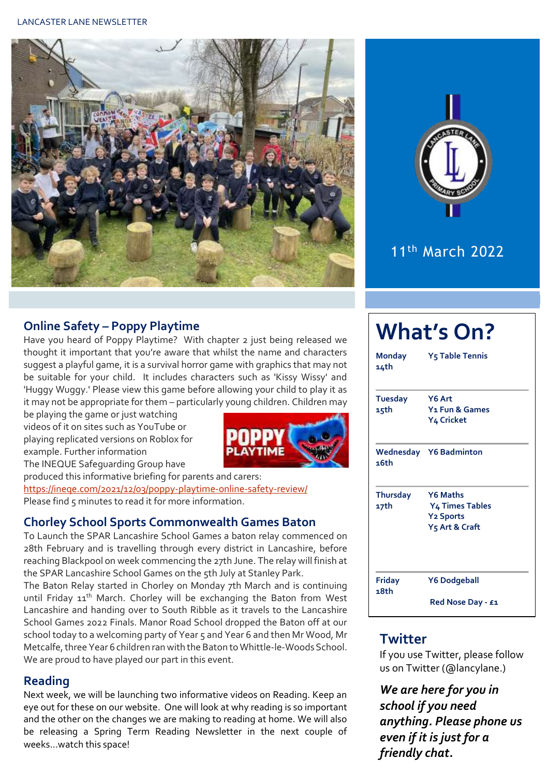



## 11th March 2022

#### **Online Safety – Poppy Playtime**

Have you heard of Poppy Playtime? With chapter 2 just being released we thought it important that you're aware that whilst the name and characters suggest a playful game, it is a survival horror game with graphics that may not be suitable for your child. It includes characters such as 'Kissy Wissy' and 'Huggy Wuggy.' Please view this game before allowing your child to play it as it may not be appropriate for them – particularly young children. Children may

be playing the game or just watching videos of it on sites such as YouTube or playing replicated versions on Roblox for example. Further information



The INEQUE Safeguarding Group have produced this informative briefing for parents and carers: <https://ineqe.com/2021/12/03/poppy-playtime-online-safety-review/> Please find 5 minutes to read it for more information.

#### **Chorley School Sports Commonwealth Games Baton**

To Launch the SPAR Lancashire School Games a baton relay commenced on 28th February and is travelling through every district in Lancashire, before reaching Blackpool on week commencing the 27th June. The relay will finish at the SPAR Lancashire School Games on the 5th July at Stanley Park.

The Baton Relay started in Chorley on Monday 7th March and is continuing until Friday 11<sup>th</sup> March. Chorley will be exchanging the Baton from West Lancashire and handing over to South Ribble as it travels to the Lancashire School Games 2022 Finals. Manor Road School dropped the Baton off at our school today to a welcoming party of Year 5 and Year 6 and then Mr Wood, Mr Metcalfe, three Year 6 children ran with the Baton to Whittle-le-Woods School. We are proud to have played our part in this event.

#### **Reading**

Next week, we will be launching two informative videos on Reading. Keep an eye out for these on our website. One will look at why reading is so important and the other on the changes we are making to reading at home. We will also be releasing a Spring Term Reading Newsletter in the next couple of weeks…watch this space!

| <b>What's On?</b>       |                                                                                             |  |  |  |  |
|-------------------------|---------------------------------------------------------------------------------------------|--|--|--|--|
| <b>Monday</b><br>14th   | <b>Y<sub>5</sub> Table Tennis</b>                                                           |  |  |  |  |
| <b>Tuesday</b><br>15th  | Y6 Art<br>Y <sub>1</sub> Fun & Games<br>Y4 Cricket                                          |  |  |  |  |
| 16th                    | <b>Wednesday Y6 Badminton</b>                                                               |  |  |  |  |
| <b>Thursday</b><br>17th | <b>Y6 Maths</b><br><b>Y4 Times Tables</b><br><b>Y2 Sports</b><br>Y <sub>5</sub> Art & Craft |  |  |  |  |
| Friday<br>18th          | Y6 Dodgeball<br>Red Nose Day - £1                                                           |  |  |  |  |

#### **Twitter**

If you use Twitter, please follow us on Twitter (@lancylane.)

*We are here for you in school if you need anything. Please phone us even if it is just for a friendly chat.*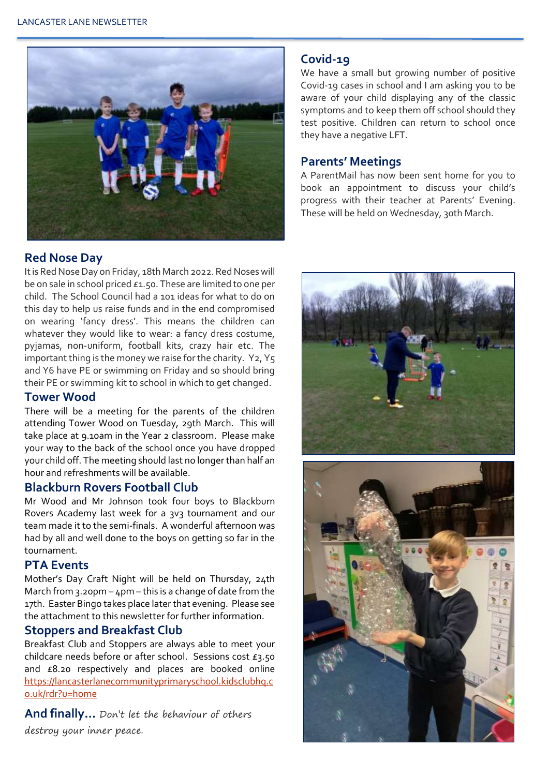

#### **Red Nose Day**

It is Red Nose Day on Friday, 18th March 2022. Red Noses will be on sale in school priced £1.50. These are limited to one per child. The School Council had a 101 ideas for what to do on this day to help us raise funds and in the end compromised on wearing 'fancy dress'. This means the children can whatever they would like to wear: a fancy dress costume, pyjamas, non-uniform, football kits, crazy hair etc. The important thing is the money we raise for the charity. Y2, Y5 and Y6 have PE or swimming on Friday and so should bring their PE or swimming kit to school in which to get changed.

#### **Tower Wood**

There will be a meeting for the parents of the children attending Tower Wood on Tuesday, 29th March. This will take place at 9.10am in the Year 2 classroom. Please make your way to the back of the school once you have dropped your child off. The meeting should last no longer than half an hour and refreshments will be available.

#### **Blackburn Rovers Football Club**

Mr Wood and Mr Johnson took four boys to Blackburn Rovers Academy last week for a 3v3 tournament and our team made it to the semi-finals. A wonderful afternoon was had by all and well done to the boys on getting so far in the tournament.

#### **PTA Events**

Mother's Day Craft Night will be held on Thursday, 24th March from 3.20pm – 4pm – this is a change of date from the 17th. Easter Bingo takes place later that evening. Please see the attachment to this newsletter for further information.

#### **Stoppers and Breakfast Club**

Breakfast Club and Stoppers are always able to meet your childcare needs before or after school. Sessions cost £3.50 and £8.20 respectively and places are booked online [https://lancasterlanecommunityprimaryschool.kidsclubhq.c](https://lancasterlanecommunityprimaryschool.kidsclubhq.co.uk/rdr?u=home) [o.uk/rdr?u=home](https://lancasterlanecommunityprimaryschool.kidsclubhq.co.uk/rdr?u=home)

**And finally…** Don't let the behaviour of others destroy your inner peace.

#### **Covid-19**

We have a small but growing number of positive Covid-19 cases in school and I am asking you to be aware of your child displaying any of the classic symptoms and to keep them off school should they test positive. Children can return to school once they have a negative LFT.

#### **Parents' Meetings**

A ParentMail has now been sent home for you to book an appointment to discuss your child's progress with their teacher at Parents' Evening. These will be held on Wednesday, 30th March.